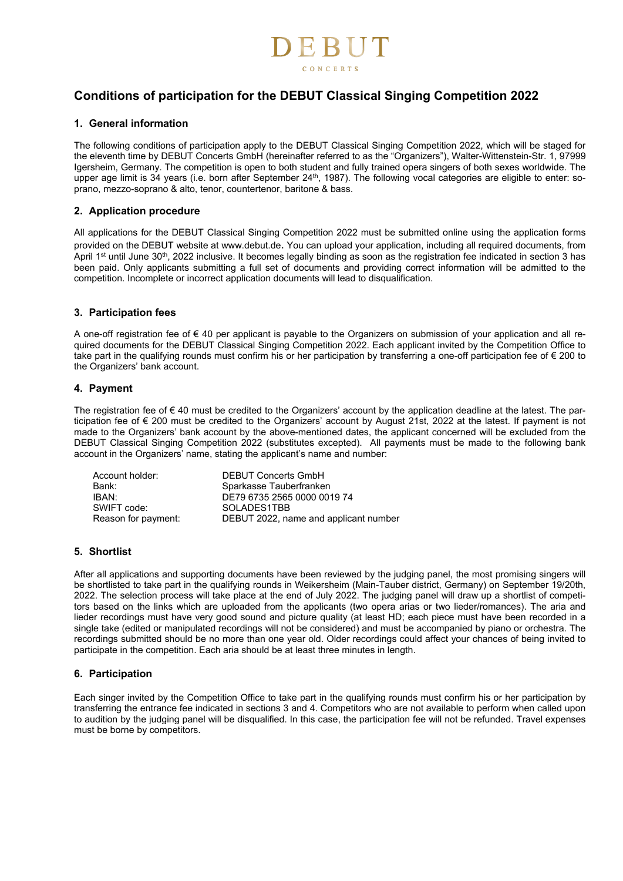

# **Conditions of participation for the DEBUT Classical Singing Competition 2022**

#### **1. General information**

The following conditions of participation apply to the DEBUT Classical Singing Competition 2022, which will be staged for the eleventh time by DEBUT Concerts GmbH (hereinafter referred to as the "Organizers"), Walter-Wittenstein-Str. 1, 97999 Igersheim, Germany. The competition is open to both student and fully trained opera singers of both sexes worldwide. The upper age limit is 34 years (i.e. born after September 24<sup>th</sup>, 1987). The following vocal categories are eligible to enter: soprano, mezzo-soprano & alto, tenor, countertenor, baritone & bass.

#### **2. Application procedure**

All applications for the DEBUT Classical Singing Competition 2022 must be submitted online using the application forms provided on the DEBUT website at www.debut.de. You can upload your application, including all required documents, from April 1<sup>st</sup> until June 30<sup>th</sup>, 2022 inclusive. It becomes legally binding as soon as the registration fee indicated in section 3 has been paid. Only applicants submitting a full set of documents and providing correct information will be admitted to the competition. Incomplete or incorrect application documents will lead to disqualification.

#### **3. Participation fees**

A one-off registration fee of € 40 per applicant is payable to the Organizers on submission of your application and all required documents for the DEBUT Classical Singing Competition 2022. Each applicant invited by the Competition Office to take part in the qualifying rounds must confirm his or her participation by transferring a one-off participation fee of  $\epsilon$  200 to the Organizers' bank account.

#### **4. Payment**

The registration fee of € 40 must be credited to the Organizers' account by the application deadline at the latest. The participation fee of € 200 must be credited to the Organizers' account by August 21st, 2022 at the latest. If payment is not made to the Organizers' bank account by the above-mentioned dates, the applicant concerned will be excluded from the DEBUT Classical Singing Competition 2022 (substitutes excepted). All payments must be made to the following bank account in the Organizers' name, stating the applicant's name and number:

| Account holder:     | <b>DEBUT Concerts GmbH</b>            |
|---------------------|---------------------------------------|
| Bank:               | Sparkasse Tauberfranken               |
| IBAN:               | DE79 6735 2565 0000 0019 74           |
| SWIFT code:         | SOLADES1TBB                           |
| Reason for payment: | DEBUT 2022, name and applicant number |

## **5. Shortlist**

After all applications and supporting documents have been reviewed by the judging panel, the most promising singers will be shortlisted to take part in the qualifying rounds in Weikersheim (Main-Tauber district, Germany) on September 19/20th, 2022. The selection process will take place at the end of July 2022. The judging panel will draw up a shortlist of competitors based on the links which are uploaded from the applicants (two opera arias or two lieder/romances). The aria and lieder recordings must have very good sound and picture quality (at least HD; each piece must have been recorded in a single take (edited or manipulated recordings will not be considered) and must be accompanied by piano or orchestra. The recordings submitted should be no more than one year old. Older recordings could affect your chances of being invited to participate in the competition. Each aria should be at least three minutes in length.

#### **6. Participation**

Each singer invited by the Competition Office to take part in the qualifying rounds must confirm his or her participation by transferring the entrance fee indicated in sections 3 and 4. Competitors who are not available to perform when called upon to audition by the judging panel will be disqualified. In this case, the participation fee will not be refunded. Travel expenses must be borne by competitors.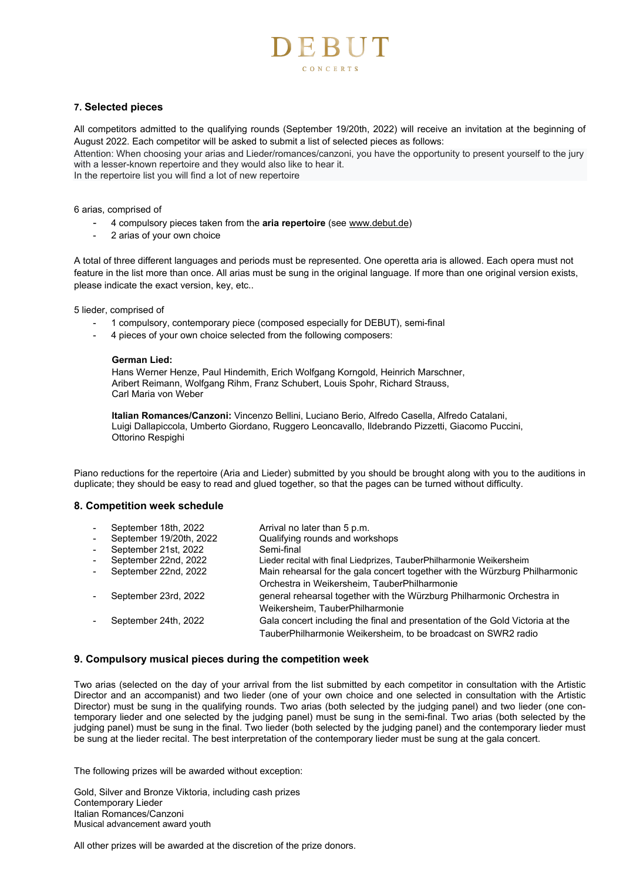

#### **7. Selected pieces**

All competitors admitted to the qualifying rounds (September 19/20th, 2022) will receive an invitation at the beginning of August 2022. Each competitor will be asked to submit a list of selected pieces as follows:

Attention: When choosing your arias and Lieder/romances/canzoni, you have the opportunity to present yourself to the jury with a lesser-known repertoire and they would also like to hear it.

In the repertoire list you will find a lot of new repertoire

6 arias, comprised of

- 4 compulsory pieces taken from the **aria repertoire** (see www.debut.de)
- 2 arias of your own choice

A total of three different languages and periods must be represented. One operetta aria is allowed. Each opera must not feature in the list more than once. All arias must be sung in the original language. If more than one original version exists, please indicate the exact version, key, etc..

5 lieder, comprised of

- 1 compulsory, contemporary piece (composed especially for DEBUT), semi-final
- 4 pieces of your own choice selected from the following composers:

#### **German Lied:**

Hans Werner Henze, Paul Hindemith, Erich Wolfgang Korngold, Heinrich Marschner, Aribert Reimann, Wolfgang Rihm, Franz Schubert, Louis Spohr, Richard Strauss, Carl Maria von Weber

**Italian Romances/Canzoni:** Vincenzo Bellini, Luciano Berio, Alfredo Casella, Alfredo Catalani, Luigi Dallapiccola, Umberto Giordano, Ruggero Leoncavallo, Ildebrando Pizzetti, Giacomo Puccini, Ottorino Respighi

Piano reductions for the repertoire (Aria and Lieder) submitted by you should be brought along with you to the auditions in duplicate; they should be easy to read and glued together, so that the pages can be turned without difficulty.

#### **8. Competition week schedule**

|                | September 18th, 2022    | Arrival no later than 5 p.m.                                                  |
|----------------|-------------------------|-------------------------------------------------------------------------------|
| $\blacksquare$ | September 19/20th, 2022 | Qualifying rounds and workshops                                               |
|                | September 21st, 2022    | Semi-final                                                                    |
|                | September 22nd, 2022    | Lieder recital with final Liedprizes, TauberPhilharmonie Weikersheim          |
|                | September 22nd, 2022    | Main rehearsal for the gala concert together with the Würzburg Philharmonic   |
|                |                         | Orchestra in Weikersheim, TauberPhilharmonie                                  |
|                | September 23rd, 2022    | general rehearsal together with the Würzburg Philharmonic Orchestra in        |
|                |                         | Weikersheim, TauberPhilharmonie                                               |
|                | September 24th, 2022    | Gala concert including the final and presentation of the Gold Victoria at the |
|                |                         | TauberPhilharmonie Weikersheim, to be broadcast on SWR2 radio                 |

#### **9. Compulsory musical pieces during the competition week**

Two arias (selected on the day of your arrival from the list submitted by each competitor in consultation with the Artistic Director and an accompanist) and two lieder (one of your own choice and one selected in consultation with the Artistic Director) must be sung in the qualifying rounds. Two arias (both selected by the judging panel) and two lieder (one contemporary lieder and one selected by the judging panel) must be sung in the semi-final. Two arias (both selected by the judging panel) must be sung in the final. Two lieder (both selected by the judging panel) and the contemporary lieder must be sung at the lieder recital. The best interpretation of the contemporary lieder must be sung at the gala concert.

The following prizes will be awarded without exception:

Gold, Silver and Bronze Viktoria, including cash prizes Contemporary Lieder Italian Romances/Canzoni Musical advancement award youth

All other prizes will be awarded at the discretion of the prize donors.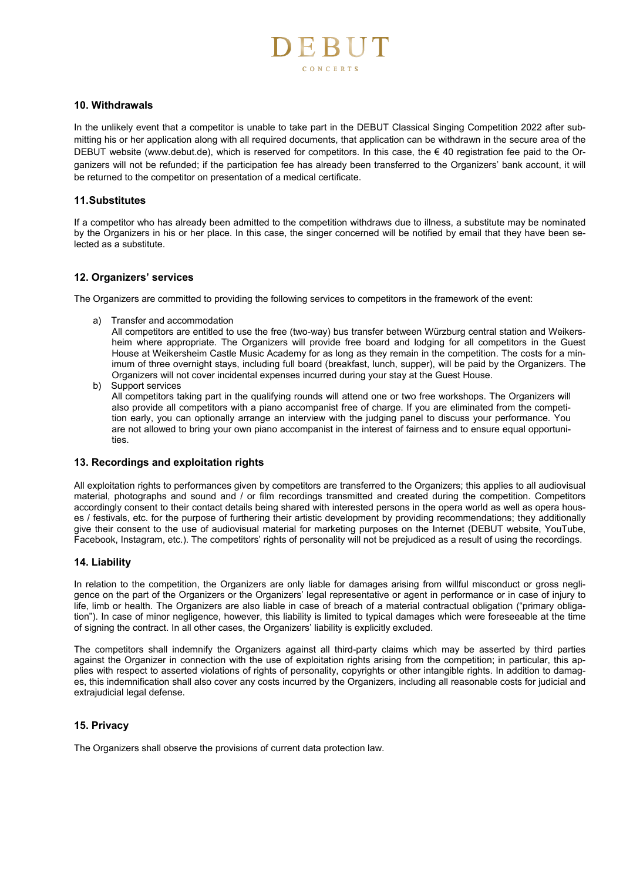# CONCERTS

#### **10. Withdrawals**

In the unlikely event that a competitor is unable to take part in the DEBUT Classical Singing Competition 2022 after submitting his or her application along with all required documents, that application can be withdrawn in the secure area of the DEBUT website (www.debut.de), which is reserved for competitors. In this case, the € 40 registration fee paid to the Organizers will not be refunded; if the participation fee has already been transferred to the Organizers' bank account, it will be returned to the competitor on presentation of a medical certificate.

#### **11. Substitutes**

If a competitor who has already been admitted to the competition withdraws due to illness, a substitute may be nominated by the Organizers in his or her place. In this case, the singer concerned will be notified by email that they have been selected as a substitute.

#### **12. Organizers' services**

The Organizers are committed to providing the following services to competitors in the framework of the event:

a) Transfer and accommodation

All competitors are entitled to use the free (two-way) bus transfer between Würzburg central station and Weikersheim where appropriate. The Organizers will provide free board and lodging for all competitors in the Guest House at Weikersheim Castle Music Academy for as long as they remain in the competition. The costs for a minimum of three overnight stays, including full board (breakfast, lunch, supper), will be paid by the Organizers. The Organizers will not cover incidental expenses incurred during your stay at the Guest House.

b) Support services All competitors taking part in the qualifying rounds will attend one or two free workshops. The Organizers will also provide all competitors with a piano accompanist free of charge. If you are eliminated from the competition early, you can optionally arrange an interview with the judging panel to discuss your performance. You are not allowed to bring your own piano accompanist in the interest of fairness and to ensure equal opportunities.

#### **13. Recordings and exploitation rights**

All exploitation rights to performances given by competitors are transferred to the Organizers; this applies to all audiovisual material, photographs and sound and / or film recordings transmitted and created during the competition. Competitors accordingly consent to their contact details being shared with interested persons in the opera world as well as opera houses / festivals, etc. for the purpose of furthering their artistic development by providing recommendations; they additionally give their consent to the use of audiovisual material for marketing purposes on the Internet (DEBUT website, YouTube, Facebook, Instagram, etc.). The competitors' rights of personality will not be prejudiced as a result of using the recordings.

#### **14. Liability**

In relation to the competition, the Organizers are only liable for damages arising from willful misconduct or gross negligence on the part of the Organizers or the Organizers' legal representative or agent in performance or in case of injury to life, limb or health. The Organizers are also liable in case of breach of a material contractual obligation ("primary obligation"). In case of minor negligence, however, this liability is limited to typical damages which were foreseeable at the time of signing the contract. In all other cases, the Organizers' liability is explicitly excluded.

The competitors shall indemnify the Organizers against all third-party claims which may be asserted by third parties against the Organizer in connection with the use of exploitation rights arising from the competition; in particular, this applies with respect to asserted violations of rights of personality, copyrights or other intangible rights. In addition to damages, this indemnification shall also cover any costs incurred by the Organizers, including all reasonable costs for judicial and extrajudicial legal defense.

## **15. Privacy**

The Organizers shall observe the provisions of current data protection law.